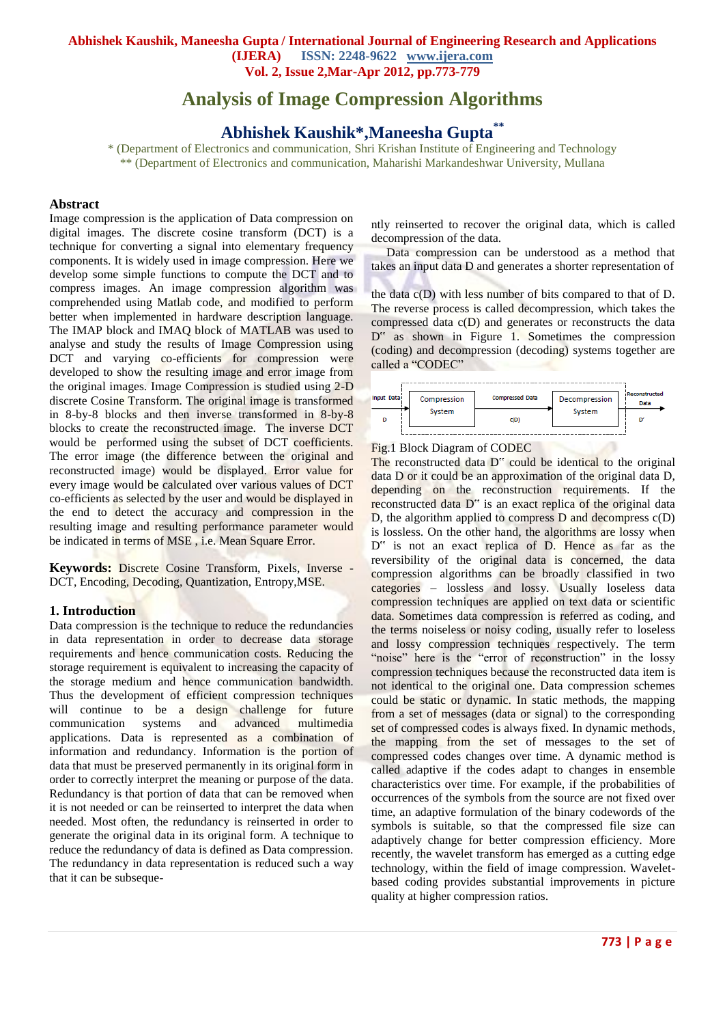# **Analysis of Image Compression Algorithms**

## **Abhishek Kaushik\*,Maneesha Gupta\*\***

\* (Department of Electronics and communication, Shri Krishan Institute of Engineering and Technology \*\* (Department of Electronics and communication, Maharishi Markandeshwar University, Mullana

#### **Abstract**

Image compression is the application of Data compression on digital images. The discrete cosine transform (DCT) is a technique for converting a signal into elementary frequency components. It is widely used in image compression. Here we develop some simple functions to compute the DCT and to compress images. An image compression algorithm was comprehended using Matlab code, and modified to perform better when implemented in hardware description language. The IMAP block and IMAQ block of MATLAB was used to analyse and study the results of Image Compression using DCT and varying co-efficients for compression were developed to show the resulting image and error image from the original images. Image Compression is studied using 2-D discrete Cosine Transform. The original image is transformed in 8-by-8 blocks and then inverse transformed in 8-by-8 blocks to create the reconstructed image. The inverse DCT would be performed using the subset of DCT coefficients. The error image (the difference between the original and reconstructed image) would be displayed. Error value for every image would be calculated over various values of DCT co-efficients as selected by the user and would be displayed in the end to detect the accuracy and compression in the resulting image and resulting performance parameter would be indicated in terms of MSE , i.e. Mean Square Error.

**Keywords:** Discrete Cosine Transform, Pixels, Inverse - DCT, Encoding, Decoding, Quantization, Entropy,MSE.

#### **1. Introduction**

Data compression is the technique to reduce the redundancies in data representation in order to decrease data storage requirements and hence communication costs. Reducing the storage requirement is equivalent to increasing the capacity of the storage medium and hence communication bandwidth. Thus the development of efficient compression techniques will continue to be a design challenge for future communication systems and advanced multimedia applications. Data is represented as a combination of information and redundancy. Information is the portion of data that must be preserved permanently in its original form in order to correctly interpret the meaning or purpose of the data. Redundancy is that portion of data that can be removed when it is not needed or can be reinserted to interpret the data when needed. Most often, the redundancy is reinserted in order to generate the original data in its original form. A technique to reduce the redundancy of data is defined as Data compression. The redundancy in data representation is reduced such a way that it can be subsequently reinserted to recover the original data, which is called decompression of the data.

 Data compression can be understood as a method that takes an input data D and generates a shorter representation of

the data  $c(D)$  with less number of bits compared to that of D. The reverse process is called decompression, which takes the compressed data c(D) and generates or reconstructs the data D" as shown in Figure 1. Sometimes the compression (coding) and decompression (decoding) systems together are called a "CODEC"



#### Fig.1 Block Diagram of CODEC

The reconstructed data D" could be identical to the original data D or it could be an approximation of the original data D, depending on the reconstruction requirements. If the reconstructed data D" is an exact replica of the original data D, the algorithm applied to compress D and decompress c(D) is lossless. On the other hand, the algorithms are lossy when D" is not an exact replica of D. Hence as far as the reversibility of the original data is concerned, the data compression algorithms can be broadly classified in two categories – lossless and lossy. Usually loseless data compression techniques are applied on text data or scientific data. Sometimes data compression is referred as coding, and the terms noiseless or noisy coding, usually refer to loseless and lossy compression techniques respectively. The term "noise" here is the "error of reconstruction" in the lossy compression techniques because the reconstructed data item is not identical to the original one. Data compression schemes could be static or dynamic. In static methods, the mapping from a set of messages (data or signal) to the corresponding set of compressed codes is always fixed. In dynamic methods, the mapping from the set of messages to the set of compressed codes changes over time. A dynamic method is called adaptive if the codes adapt to changes in ensemble characteristics over time. For example, if the probabilities of occurrences of the symbols from the source are not fixed over time, an adaptive formulation of the binary codewords of the symbols is suitable, so that the compressed file size can adaptively change for better compression efficiency. More recently, the wavelet transform has emerged as a cutting edge technology, within the field of image compression. Waveletbased coding provides substantial improvements in picture quality at higher compression ratios.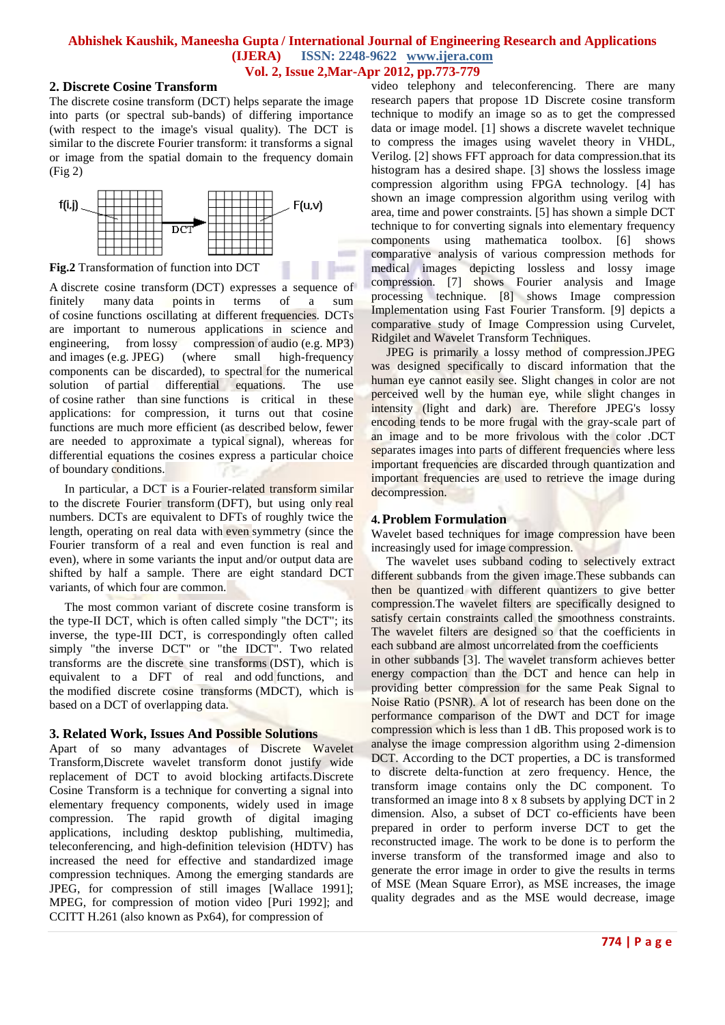$\sim$ **STATE** 

## **2. Discrete Cosine Transform**

The discrete cosine transform (DCT) helps separate the image into parts (or spectral sub-bands) of differing importance (with respect to the image's visual quality). The DCT is similar to the discrete Fourier transform: it transforms a signal or image from the spatial domain to the frequency domain (Fig 2)



**Fig.2** Transformation of function into DCT

A discrete cosine transform (DCT) expresses a sequence of finitely many data points in terms of a sum of [cosine](http://en.wikipedia.org/wiki/Cosine) functions oscillating at different [frequencies.](http://en.wikipedia.org/wiki/Frequency) DCTs are important to numerous applications in science and engineering, from [lossy compression](http://en.wikipedia.org/wiki/Lossy_compression) of [audio](http://en.wikipedia.org/wiki/Audio_compression_(data)) (e.g. [MP3\)](http://en.wikipedia.org/wiki/MP3) and [images](http://en.wikipedia.org/wiki/Image_compression) (e.g. [JPEG\)](http://en.wikipedia.org/wiki/JPEG) (where small high-frequency components can be discarded), to spectral for the numerical solution of [partial differential equations.](http://en.wikipedia.org/wiki/Partial_differential_equations) The use of [cosine](http://en.wikipedia.org/wiki/Cosine) rather than [sine](http://en.wikipedia.org/wiki/Sine) functions is critical in these applications: for compression, it turns out that cosine functions are much more efficient (as described below, fewer are needed to approximate a typical [signal\)](http://en.wikipedia.org/wiki/Signal_(electrical_engineering)), whereas for differential equations the cosines express a particular choice of [boundary conditions.](http://en.wikipedia.org/wiki/Boundary_condition)

 In particular, a DCT is a [Fourier-related transform](http://en.wikipedia.org/wiki/List_of_Fourier-related_transforms) similar to the [discrete Fourier transform](http://en.wikipedia.org/wiki/Discrete_Fourier_transform) (DFT), but using only [real](http://en.wikipedia.org/wiki/Real_number)  [numbers.](http://en.wikipedia.org/wiki/Real_number) DCTs are equivalent to DFTs of roughly twice the length, operating on real data with [even](http://en.wikipedia.org/wiki/Even_and_odd_functions) symmetry (since the Fourier transform of a real and even function is real and even), where in some variants the input and/or output data are shifted by half a sample. There are eight standard DCT variants, of which four are common.

 The most common variant of discrete cosine transform is the type-II DCT, which is often called simply "the DCT"; its inverse, the type-III DCT, is correspondingly often called simply "the inverse DCT" or "the IDCT". Two related transforms are the [discrete sine transforms](http://en.wikipedia.org/wiki/Discrete_sine_transform) (DST), which is equivalent to a DFT of real and odd functions, and the [modified discrete cosine transforms](http://en.wikipedia.org/wiki/Modified_discrete_cosine_transform) (MDCT), which is based on a DCT of overlapping data.

## **3. Related Work, Issues And Possible Solutions**

Apart of so many advantages of Discrete Wavelet Transform,Discrete wavelet transform donot justify wide replacement of DCT to avoid blocking artifacts.Discrete Cosine Transform is a technique for converting a signal into elementary frequency components, widely used in image compression. The rapid growth of digital imaging applications, including desktop publishing, multimedia, teleconferencing, and high-definition television (HDTV) has increased the need for effective and standardized image compression techniques. Among the emerging standards are JPEG, for compression of still images [Wallace 1991]; MPEG, for compression of motion video [Puri 1992]; and CCITT H.261 (also known as Px64), for compression of

video telephony and teleconferencing. There are many research papers that propose 1D Discrete cosine transform technique to modify an image so as to get the compressed data or image model. [1] shows a discrete wavelet technique to compress the images using wavelet theory in VHDL, Verilog. [2] shows FFT approach for data compression.that its histogram has a desired shape. [3] shows the lossless image compression algorithm using FPGA technology. [4] has shown an image compression algorithm using verilog with area, time and power constraints. [5] has shown a simple DCT technique to for converting signals into elementary frequency components using mathematica toolbox. [6] shows comparative analysis of various compression methods for medical images depicting lossless and lossy image compression. [7] shows Fourier analysis and Image processing technique. [8] shows Image compression Implementation using Fast Fourier Transform. [9] depicts a comparative study of Image Compression using Curvelet, Ridgilet and Wavelet Transform Techniques.

 JPEG is primarily a lossy method of compression.JPEG was designed specifically to discard information that the human eye cannot easily see. Slight changes in color are not perceived well by the human eye, while slight changes in intensity (light and dark) are. Therefore JPEG's lossy encoding tends to be more frugal with the gray-scale part of an image and to be more frivolous with the color .DCT separates images into parts of different frequencies where less important frequencies are discarded through quantization and important frequencies are used to retrieve the image during decompression.

## **4.Problem Formulation**

Wavelet based techniques for image compression have been increasingly used for image compression.

 The wavelet uses subband coding to selectively extract different subbands from the given image. These subbands can then be quantized with different quantizers to give better compression.The wavelet filters are specifically designed to satisfy certain constraints called the smoothness constraints. The wavelet filters are designed so that the coefficients in each subband are almost uncorrelated from the coefficients

in other subbands [3]. The wavelet transform achieves better energy compaction than the DCT and hence can help in providing better compression for the same Peak Signal to Noise Ratio (PSNR). A lot of research has been done on the performance comparison of the DWT and DCT for image compression which is less than 1 dB. This proposed work is to analyse the image compression algorithm using 2-dimension DCT. According to the DCT properties, a DC is transformed to discrete delta-function at zero frequency. Hence, the transform image contains only the DC component. To transformed an image into 8 x 8 subsets by applying DCT in 2 dimension. Also, a subset of DCT co-efficients have been prepared in order to perform inverse DCT to get the reconstructed image. The work to be done is to perform the inverse transform of the transformed image and also to generate the error image in order to give the results in terms of MSE (Mean Square Error), as MSE increases, the image quality degrades and as the MSE would decrease, image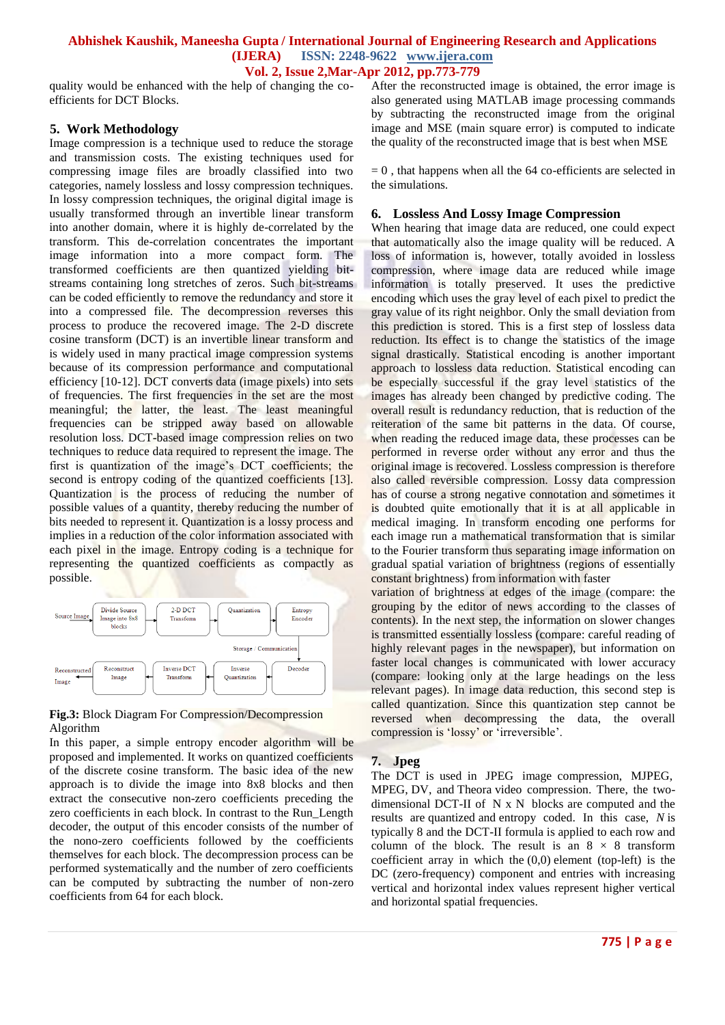## **Abhishek Kaushik, Maneesha Gupta / International Journal of Engineering Research and Applications (IJERA) ISSN: 2248-9622 www.ijera.com**

**Vol. 2, Issue 2,Mar-Apr 2012, pp.773-779**

quality would be enhanced with the help of changing the coefficients for DCT Blocks.

#### **5. Work Methodology**

Image compression is a technique used to reduce the storage and transmission costs. The existing techniques used for compressing image files are broadly classified into two categories, namely lossless and lossy compression techniques. In lossy compression techniques, the original digital image is usually transformed through an invertible linear transform into another domain, where it is highly de-correlated by the transform. This de-correlation concentrates the important image information into a more compact form. The transformed coefficients are then quantized yielding bitstreams containing long stretches of zeros. Such bit-streams can be coded efficiently to remove the redundancy and store it into a compressed file. The decompression reverses this process to produce the recovered image. The 2-D discrete cosine transform (DCT) is an invertible linear transform and is widely used in many practical image compression systems because of its compression performance and computational efficiency [10-12]. DCT converts data (image pixels) into sets of frequencies. The first frequencies in the set are the most meaningful; the latter, the least. The least meaningful frequencies can be stripped away based on allowable resolution loss. DCT-based image compression relies on two techniques to reduce data required to represent the image. The first is quantization of the image"s DCT coefficients; the second is entropy coding of the quantized coefficients [13]. Quantization is the process of reducing the number of possible values of a quantity, thereby reducing the number of bits needed to represent it. Quantization is a lossy process and implies in a reduction of the color information associated with each pixel in the image. Entropy coding is a technique for representing the quantized coefficients as compactly as possible.



#### **Fig.3:** Block Diagram For Compression/Decompression Algorithm

In this paper, a simple entropy encoder algorithm will be proposed and implemented. It works on quantized coefficients of the discrete cosine transform. The basic idea of the new approach is to divide the image into 8x8 blocks and then extract the consecutive non-zero coefficients preceding the zero coefficients in each block. In contrast to the Run\_Length decoder, the output of this encoder consists of the number of the nono-zero coefficients followed by the coefficients themselves for each block. The decompression process can be performed systematically and the number of zero coefficients can be computed by subtracting the number of non-zero coefficients from 64 for each block.

After the reconstructed image is obtained, the error image is also generated using MATLAB image processing commands by subtracting the reconstructed image from the original image and MSE (main square error) is computed to indicate the quality of the reconstructed image that is best when MSE

 $= 0$ , that happens when all the 64 co-efficients are selected in the simulations.

#### **6. Lossless And Lossy Image Compression**

When hearing that image data are reduced, one could expect that automatically also the image quality will be reduced. A loss of information is, however, totally avoided in lossless compression, where image data are reduced while image information is totally preserved. It uses the predictive encoding which uses the gray level of each pixel to predict the gray value of its right neighbor. Only the small deviation from this prediction is stored. This is a first step of lossless data reduction. Its effect is to change the statistics of the image signal drastically. Statistical encoding is another important approach to lossless data reduction. Statistical encoding can be especially successful if the gray level statistics of the images has already been changed by predictive coding. The overall result is redundancy reduction, that is reduction of the reiteration of the same bit patterns in the data. Of course, when reading the reduced image data, these processes can be performed in reverse order without any error and thus the original image is recovered. Lossless compression is therefore also called reversible compression. Lossy data compression has of course a strong negative connotation and sometimes it is doubted quite emotionally that it is at all applicable in medical imaging. In transform encoding one performs for each image run a mathematical transformation that is similar to the Fourier transform thus separating image information on gradual spatial variation of brightness (regions of essentially constant brightness) from information with faster

variation of brightness at edges of the image (compare: the grouping by the editor of news according to the classes of contents). In the next step, the information on slower changes is transmitted essentially lossless (compare: careful reading of highly relevant pages in the newspaper), but information on faster local changes is communicated with lower accuracy (compare: looking only at the large headings on the less relevant pages). In image data reduction, this second step is called quantization. Since this quantization step cannot be reversed when decompressing the data, the overall compression is 'lossy' or 'irreversible'.

#### **7. Jpeg**

The DCT is used in [JPEG](http://en.wikipedia.org/wiki/JPEG) image compression, [MJPEG,](http://en.wikipedia.org/wiki/MJPEG) [MPEG,](http://en.wikipedia.org/wiki/MPEG) [DV,](http://en.wikipedia.org/wiki/DV) and [Theora](http://en.wikipedia.org/wiki/Theora) [video compression.](http://en.wikipedia.org/wiki/Video_compression) There, the twodimensional DCT-II of N x N blocks are computed and the results are [quantized](http://en.wikipedia.org/wiki/Quantization_(signal_processing)) and [entropy coded.](http://en.wikipedia.org/wiki/Entropy_encoding) In this case, *N* is typically 8 and the DCT-II formula is applied to each row and column of the block. The result is an  $8 \times 8$  transform coefficient array in which the  $(0,0)$  element (top-left) is the DC (zero-frequency) component and entries with increasing vertical and horizontal index values represent higher vertical and horizontal spatial frequencies.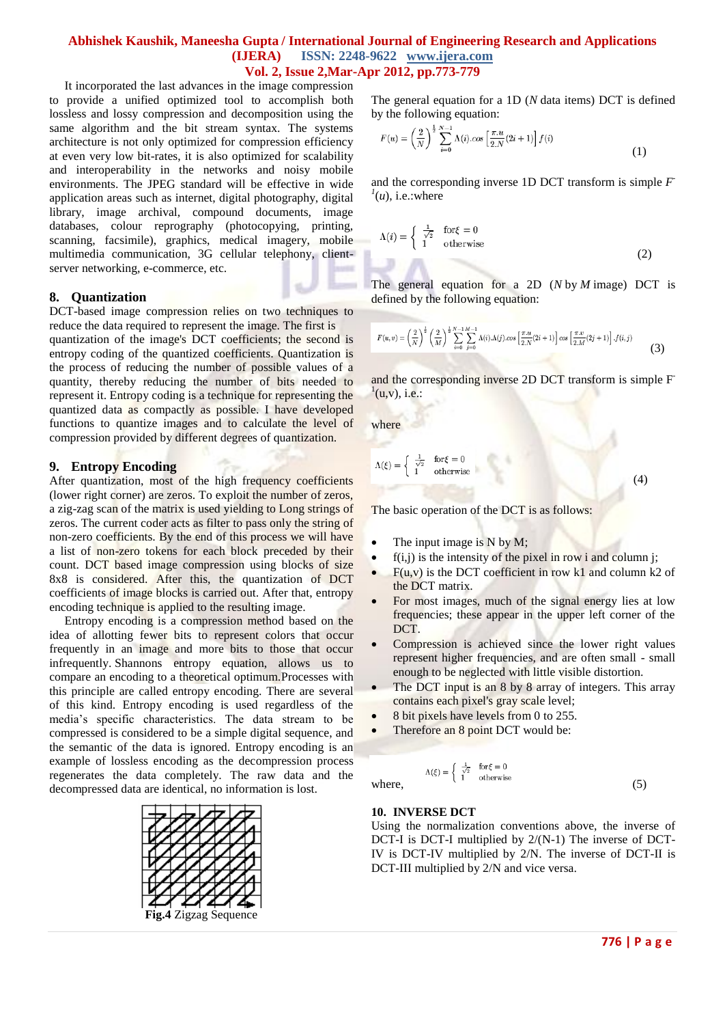It incorporated the last advances in the image compression to provide a unified optimized tool to accomplish both lossless and lossy compression and decomposition using the same algorithm and the bit stream syntax. The systems architecture is not only optimized for compression efficiency at even very low bit-rates, it is also optimized for scalability and interoperability in the networks and noisy mobile environments. The JPEG standard will be effective in wide application areas such as internet, digital photography, digital library, image archival, compound documents, image databases, colour reprography (photocopying, printing, scanning, facsimile), graphics, medical imagery, mobile multimedia communication, 3G cellular telephony, clientserver networking, e-commerce, etc.

#### **8. Quantization**

DCT-based image compression relies on two techniques to reduce the data required to represent the image. The first is quantization of the image's DCT coefficients; the second is entropy coding of the quantized coefficients. Quantization is the process of reducing the number of possible values of a

quantity, thereby reducing the number of bits needed to represent it. Entropy coding is a technique for representing the quantized data as compactly as possible. I have developed functions to quantize images and to calculate the level of compression provided by different degrees of quantization.

#### **9. Entropy Encoding**

After quantization, most of the high frequency coefficients (lower right corner) are zeros. To exploit the number of zeros, a zig-zag scan of the matrix is used yielding to Long strings of zeros. The current coder acts as filter to pass only the string of non-zero coefficients. By the end of this process we will have a list of non-zero tokens for each block preceded by their count. DCT based image compression using blocks of size 8x8 is considered. After this, the quantization of DCT coefficients of image blocks is carried out. After that, entropy encoding technique is applied to the resulting image.

 Entropy encoding is a compression method based on the idea of allotting fewer bits to represent colors that occur frequently in an image and more bits to those that occur infrequently. Shannons entropy equation, allows us to compare an encoding to a theoretical optimum.Processes with this principle are called entropy encoding. There are several of this kind. Entropy encoding is used regardless of the media"s specific characteristics. The data stream to be compressed is considered to be a simple digital sequence, and the semantic of the data is ignored. Entropy encoding is an example of lossless encoding as the decompression process regenerates the data completely. The raw data and the decompressed data are identical, no information is lost.



The general equation for a 1D (*N* data items) DCT is defined by the following equation:

$$
F(u) = \left(\frac{2}{N}\right)^{\frac{1}{2}} \sum_{i=0}^{N-1} \Lambda(i) \cdot \cos\left[\frac{\pi \cdot u}{2 \cdot N} (2i+1)\right] f(i)
$$
\n(1)

and the corresponding inverse 1D DCT transform is simple *F -*  $^{1}(u)$ , i.e.:where

$$
\Lambda(i) = \begin{cases} \frac{1}{\sqrt{2}} & \text{for } \xi = 0\\ 1 & \text{otherwise} \end{cases}
$$
 (2)

The general equation for a 2D (*N* by *M* image) DCT is defined by the following equation:

$$
F(u,v) = \left(\frac{2}{N}\right)^{\frac{1}{2}} \left(\frac{2}{M}\right)^{\frac{1}{2}} \sum_{i=0}^{N-1} \sum_{j=0}^{M-1} \Lambda(i) \cdot \Lambda(j) \cdot \cos\left[\frac{\pi \cdot u}{2 \cdot N}(2i+1)\right] \cos\left[\frac{\pi \cdot v}{2 \cdot M}(2j+1)\right] \cdot f(i,j)
$$
(3)

and the corresponding inverse 2D DCT transform is simple F  $^{1}(u,v)$ , i.e.:

where

$$
\Lambda(\xi) = \begin{cases} \frac{1}{\sqrt{2}} & \text{for } \xi = 0\\ 1 & \text{otherwise} \end{cases} \tag{4}
$$

The basic operation of the DCT is as follows:

- The input image is N by M;
- $\bullet$  f(i,j) is the intensity of the pixel in row i and column j;
- $F(u, v)$  is the DCT coefficient in row k1 and column k2 of the DCT matrix.
- For most images, much of the signal energy lies at low frequencies; these appear in the upper left corner of the DCT.
- Compression is achieved since the lower right values represent higher frequencies, and are often small - small enough to be neglected with little visible distortion.
- The DCT input is an 8 by 8 array of integers. This array contains each pixel's gray scale level;
- 8 bit pixels have levels from 0 to 255.
- Therefore an 8 point DCT would be:

where,  
\n
$$
\Lambda(\xi) = \begin{cases}\n\frac{1}{\sqrt{2}} & \text{for } \xi = 0 \\
1 & \text{otherwise}\n\end{cases}
$$
\n(5)

#### **10. INVERSE DCT**

Using the normalization conventions above, the inverse of DCT-I is DCT-I multiplied by 2/(N-1) The inverse of DCT-IV is DCT-IV multiplied by 2/N. The inverse of DCT-II is DCT-III multiplied by 2/N and vice versa.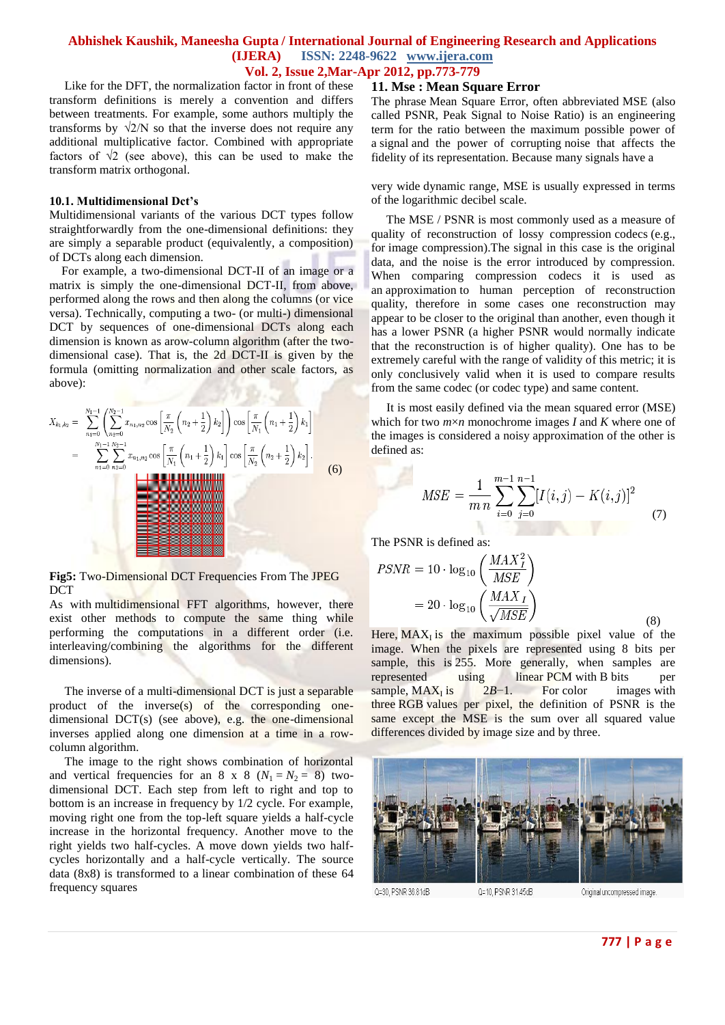## **Abhishek Kaushik, Maneesha Gupta / International Journal of Engineering Research and Applications (IJERA) ISSN: 2248-9622 www.ijera.com**

**Vol. 2, Issue 2,Mar-Apr 2012, pp.773-779**

 Like for the DFT, the normalization factor in front of these transform definitions is merely a convention and differs between treatments. For example, some authors multiply the transforms by  $\sqrt{2/N}$  so that the inverse does not require any additional multiplicative factor. Combined with appropriate factors of  $\sqrt{2}$  (see above), this can be used to make the transform matrix orthogonal.

#### **10.1. Multidimensional Dct's**

Multidimensional variants of the various DCT types follow straightforwardly from the one-dimensional definitions: they are simply a separable product (equivalently, a composition) of DCTs along each dimension.

 For example, a two-dimensional DCT-II of an image or a matrix is simply the one-dimensional DCT-II, from above, performed along the rows and then along the columns (or vice versa). Technically, computing a two- (or multi-) dimensional DCT by sequences of one-dimensional DCTs along each dimension is known as arow-column algorithm (after the twodimensional case). That is, the 2d DCT-II is given by the formula (omitting normalization and other scale factors, as above):  $-5972.77$ 

$$
X_{k_1,k_2} = \sum_{n_1=0}^{N_1-1} \left( \sum_{n_2=0}^{N_2-1} x_{n_1,n_2} \cos \left[ \frac{\pi}{N_2} \left( n_2 + \frac{1}{2} \right) k_2 \right] \right) \cos \left[ \frac{\pi}{N_1} \left( n_1 + \frac{1}{2} \right) k_1 \right]
$$
  
= 
$$
\sum_{n_1=0}^{N_1-1} \sum_{n_2=0}^{N_2-1} x_{n_1,n_2} \cos \left[ \frac{\pi}{N_1} \left( n_1 + \frac{1}{2} \right) k_1 \right] \cos \left[ \frac{\pi}{N_2} \left( n_2 + \frac{1}{2} \right) k_2 \right].
$$
 (6)

**Fig5:** Two-Dimensional DCT Frequencies From The JPEG DCT

As with multidimensional FFT algorithms, however, there exist other methods to compute the same thing while performing the computations in a different order (i.e. interleaving/combining the algorithms for the different dimensions).

 The inverse of a multi-dimensional DCT is just a separable product of the inverse(s) of the corresponding onedimensional DCT(s) (see above), e.g. the one-dimensional inverses applied along one dimension at a time in a rowcolumn algorithm.

 The image to the right shows combination of horizontal and vertical frequencies for an 8 x 8  $(N_1 = N_2 = 8)$  twodimensional DCT. Each step from left to right and top to bottom is an increase in frequency by 1/2 cycle. For example, moving right one from the top-left square yields a half-cycle increase in the horizontal frequency. Another move to the right yields two half-cycles. A move down yields two halfcycles horizontally and a half-cycle vertically. The source data (8x8) is transformed to a linear combination of these 64 frequency squares

#### **11. Mse : Mean Square Error**

The phrase Mean Square Error, often abbreviated MSE (also called PSNR, Peak Signal to Noise Ratio) is an engineering term for the ratio between the maximum possible power of a [signal](http://en.wikipedia.org/wiki/Signal_(information_theory)) and the power of corrupting noise that affects the fidelity of its representation. Because many signals have a

very wide [dynamic range,](http://en.wikipedia.org/wiki/Dynamic_range) MSE is usually expressed in terms of the [logarithmic](http://en.wikipedia.org/wiki/Logarithm) [decibel](http://en.wikipedia.org/wiki/Decibel) scale.

 The MSE / PSNR is most commonly used as a measure of quality of reconstruction of lossy compression [codecs](http://en.wikipedia.org/wiki/Codec) (e.g., for [image compression\)](http://en.wikipedia.org/wiki/Image_compression).The signal in this case is the original data, and the noise is the error introduced by compression. When comparing compression codecs it is used as an approximation to human perception of reconstruction quality, therefore in some cases one reconstruction may appear to be closer to the original than another, even though it has a lower PSNR (a higher PSNR would normally indicate that the reconstruction is of higher quality). One has to be extremely careful with the range of validity of this metric; it is only conclusively valid when it is used to compare results from the same codec (or codec type) and same content.

 It is most easily defined via the [mean squared error](http://en.wikipedia.org/wiki/Mean_squared_error) (MSE) which for two *m*×*n* monochrome images *I* and *K* where one of the images is considered a noisy approximation of the other is defined as:

$$
MSE = \frac{1}{m n} \sum_{i=0}^{m-1} \sum_{j=0}^{n-1} [I(i,j) - K(i,j)]^2
$$
 (7)

The PSNR is defined as:

$$
PSNR = 10 \cdot \log_{10} \left( \frac{MAX_I^2}{MSE} \right)
$$

$$
= 20 \cdot \log_{10} \left( \frac{MAX_I}{\sqrt{MSE}} \right)
$$
(8)

Here,  $MAX<sub>I</sub>$  is the maximum possible pixel value of the image. When the pixels are represented using 8 bits per sample, this is 255. More generally, when samples are represented using linear PCM with B bits per represented using linear PCM with B bits per sample,  $MAX<sub>I</sub>$  is  $2B-1$ . For color images with three RGB values per pixel, the definition of PSNR is the same except the MSE is the sum over all squared value differences divided by image size and by three.



Q=30, PSNR 36.81dB

Original uncompressed image.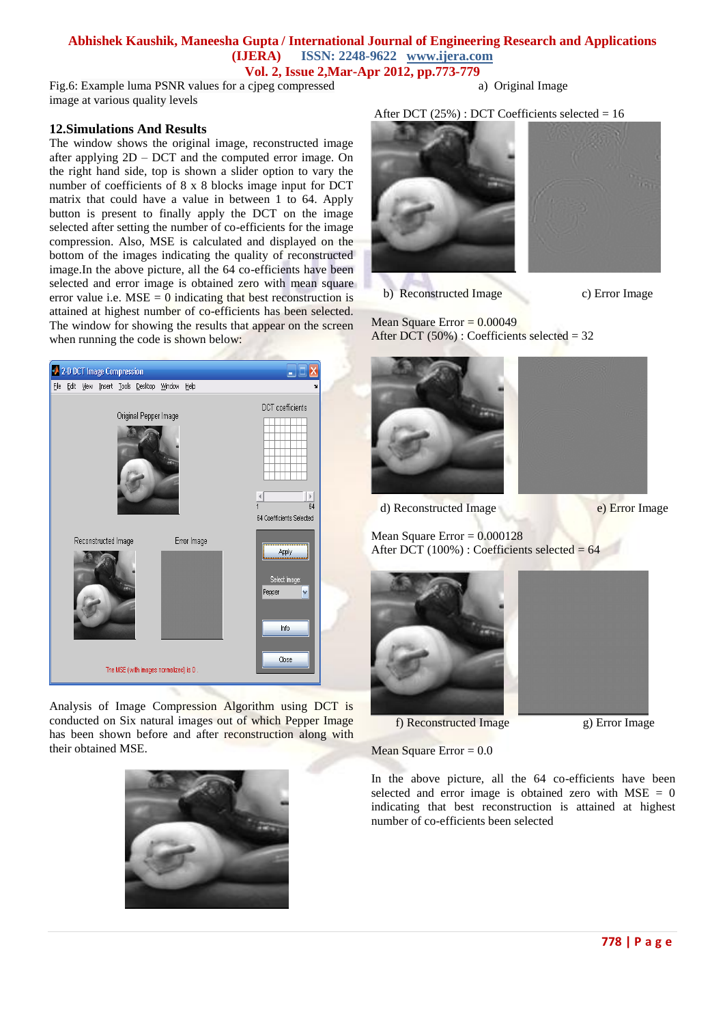Fig.6: Example luma PSNR values for a cjpeg compressed image at various quality levels

## a) Original Image

#### **12.Simulations And Results**

The window shows the original image, reconstructed image after applying 2D – DCT and the computed error image. On the right hand side, top is shown a slider option to vary the number of coefficients of 8 x 8 blocks image input for DCT matrix that could have a value in between 1 to 64. Apply button is present to finally apply the DCT on the image selected after setting the number of co-efficients for the image compression. Also, MSE is calculated and displayed on the bottom of the images indicating the quality of reconstructed image.In the above picture, all the 64 co-efficients have been selected and error image is obtained zero with mean square error value i.e.  $MSE = 0$  indicating that best reconstruction is attained at highest number of co-efficients has been selected. The window for showing the results that appear on the screen when running the code is shown below:



Analysis of Image Compression Algorithm using DCT is conducted on Six natural images out of which Pepper Image has been shown before and after reconstruction along with their obtained MSE.



After DCT  $(25%)$ : DCT Coefficients selected = 16



b) Reconstructed Image c) Error Image

Mean Square Error  $= 0.00049$ After DCT (50%) : Coefficients selected = 32





d) Reconstructed Image e) Error Image

Mean Square Error  $= 0.000128$ After DCT (100%) : Coefficients selected = 64



f) Reconstructed Image g) Error Image

Mean Square Error  $= 0.0$ 



In the above picture, all the 64 co-efficients have been selected and error image is obtained zero with  $MSE = 0$ indicating that best reconstruction is attained at highest number of co-efficients been selected